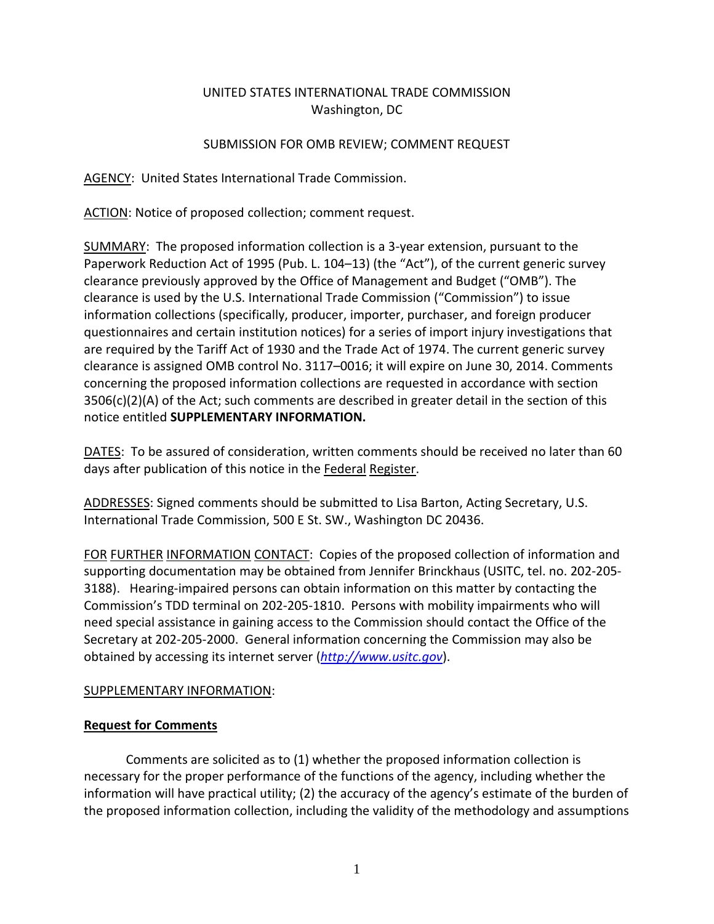## UNITED STATES INTERNATIONAL TRADE COMMISSION Washington, DC

## SUBMISSION FOR OMB REVIEW; COMMENT REQUEST

AGENCY: United States International Trade Commission.

ACTION: Notice of proposed collection; comment request.

SUMMARY: The proposed information collection is a 3-year extension, pursuant to the Paperwork Reduction Act of 1995 (Pub. L. 104–13) (the "Act"), of the current generic survey clearance previously approved by the Office of Management and Budget ("OMB"). The clearance is used by the U.S. International Trade Commission ("Commission") to issue information collections (specifically, producer, importer, purchaser, and foreign producer questionnaires and certain institution notices) for a series of import injury investigations that are required by the Tariff Act of 1930 and the Trade Act of 1974. The current generic survey clearance is assigned OMB control No. 3117–0016; it will expire on June 30, 2014. Comments concerning the proposed information collections are requested in accordance with section  $3506(c)(2)(A)$  of the Act; such comments are described in greater detail in the section of this notice entitled **SUPPLEMENTARY INFORMATION.**

DATES: To be assured of consideration, written comments should be received no later than 60 days after publication of this notice in the Federal Register.

ADDRESSES: Signed comments should be submitted to Lisa Barton, Acting Secretary, U.S. International Trade Commission, 500 E St. SW., Washington DC 20436.

FOR FURTHER INFORMATION CONTACT: Copies of the proposed collection of information and supporting documentation may be obtained from Jennifer Brinckhaus (USITC, tel. no. 202-205- 3188). Hearing-impaired persons can obtain information on this matter by contacting the Commission's TDD terminal on 202-205-1810. Persons with mobility impairments who will need special assistance in gaining access to the Commission should contact the Office of the Secretary at 202-205-2000. General information concerning the Commission may also be obtained by accessing its internet server (*[http://www.usitc.gov](http://www.usitc.gov/)*).

## SUPPLEMENTARY INFORMATION:

# **Request for Comments**

Comments are solicited as to (1) whether the proposed information collection is necessary for the proper performance of the functions of the agency, including whether the information will have practical utility; (2) the accuracy of the agency's estimate of the burden of the proposed information collection, including the validity of the methodology and assumptions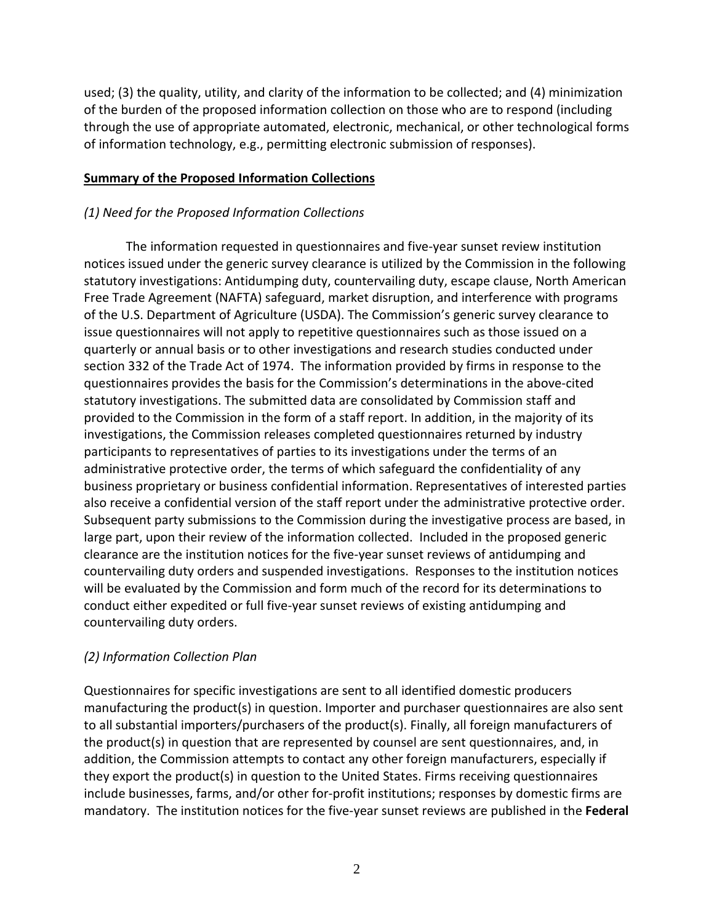used; (3) the quality, utility, and clarity of the information to be collected; and (4) minimization of the burden of the proposed information collection on those who are to respond (including through the use of appropriate automated, electronic, mechanical, or other technological forms of information technology, e.g., permitting electronic submission of responses).

#### **Summary of the Proposed Information Collections**

### *(1) Need for the Proposed Information Collections*

The information requested in questionnaires and five-year sunset review institution notices issued under the generic survey clearance is utilized by the Commission in the following statutory investigations: Antidumping duty, countervailing duty, escape clause, North American Free Trade Agreement (NAFTA) safeguard, market disruption, and interference with programs of the U.S. Department of Agriculture (USDA). The Commission's generic survey clearance to issue questionnaires will not apply to repetitive questionnaires such as those issued on a quarterly or annual basis or to other investigations and research studies conducted under section 332 of the Trade Act of 1974. The information provided by firms in response to the questionnaires provides the basis for the Commission's determinations in the above-cited statutory investigations. The submitted data are consolidated by Commission staff and provided to the Commission in the form of a staff report. In addition, in the majority of its investigations, the Commission releases completed questionnaires returned by industry participants to representatives of parties to its investigations under the terms of an administrative protective order, the terms of which safeguard the confidentiality of any business proprietary or business confidential information. Representatives of interested parties also receive a confidential version of the staff report under the administrative protective order. Subsequent party submissions to the Commission during the investigative process are based, in large part, upon their review of the information collected. Included in the proposed generic clearance are the institution notices for the five-year sunset reviews of antidumping and countervailing duty orders and suspended investigations. Responses to the institution notices will be evaluated by the Commission and form much of the record for its determinations to conduct either expedited or full five-year sunset reviews of existing antidumping and countervailing duty orders.

## *(2) Information Collection Plan*

Questionnaires for specific investigations are sent to all identified domestic producers manufacturing the product(s) in question. Importer and purchaser questionnaires are also sent to all substantial importers/purchasers of the product(s). Finally, all foreign manufacturers of the product(s) in question that are represented by counsel are sent questionnaires, and, in addition, the Commission attempts to contact any other foreign manufacturers, especially if they export the product(s) in question to the United States. Firms receiving questionnaires include businesses, farms, and/or other for-profit institutions; responses by domestic firms are mandatory. The institution notices for the five-year sunset reviews are published in the **Federal**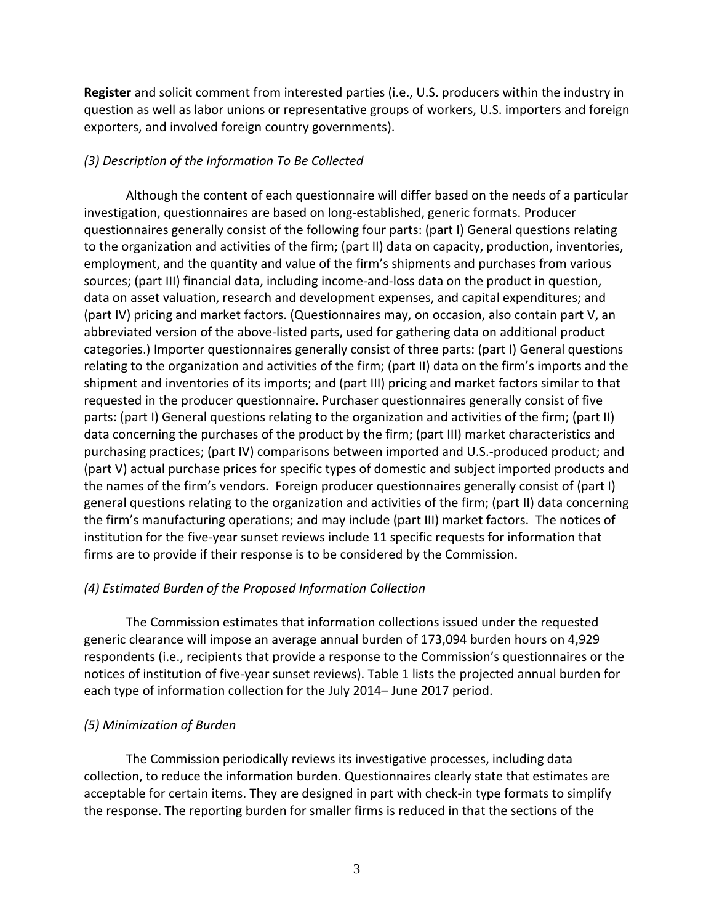**Register** and solicit comment from interested parties (i.e., U.S. producers within the industry in question as well as labor unions or representative groups of workers, U.S. importers and foreign exporters, and involved foreign country governments).

## *(3) Description of the Information To Be Collected*

Although the content of each questionnaire will differ based on the needs of a particular investigation, questionnaires are based on long-established, generic formats. Producer questionnaires generally consist of the following four parts: (part I) General questions relating to the organization and activities of the firm; (part II) data on capacity, production, inventories, employment, and the quantity and value of the firm's shipments and purchases from various sources; (part III) financial data, including income-and-loss data on the product in question, data on asset valuation, research and development expenses, and capital expenditures; and (part IV) pricing and market factors. (Questionnaires may, on occasion, also contain part V, an abbreviated version of the above-listed parts, used for gathering data on additional product categories.) Importer questionnaires generally consist of three parts: (part I) General questions relating to the organization and activities of the firm; (part II) data on the firm's imports and the shipment and inventories of its imports; and (part III) pricing and market factors similar to that requested in the producer questionnaire. Purchaser questionnaires generally consist of five parts: (part I) General questions relating to the organization and activities of the firm; (part II) data concerning the purchases of the product by the firm; (part III) market characteristics and purchasing practices; (part IV) comparisons between imported and U.S.-produced product; and (part V) actual purchase prices for specific types of domestic and subject imported products and the names of the firm's vendors. Foreign producer questionnaires generally consist of (part I) general questions relating to the organization and activities of the firm; (part II) data concerning the firm's manufacturing operations; and may include (part III) market factors. The notices of institution for the five-year sunset reviews include 11 specific requests for information that firms are to provide if their response is to be considered by the Commission.

## *(4) Estimated Burden of the Proposed Information Collection*

The Commission estimates that information collections issued under the requested generic clearance will impose an average annual burden of 173,094 burden hours on 4,929 respondents (i.e., recipients that provide a response to the Commission's questionnaires or the notices of institution of five-year sunset reviews). Table 1 lists the projected annual burden for each type of information collection for the July 2014– June 2017 period.

# *(5) Minimization of Burden*

The Commission periodically reviews its investigative processes, including data collection, to reduce the information burden. Questionnaires clearly state that estimates are acceptable for certain items. They are designed in part with check-in type formats to simplify the response. The reporting burden for smaller firms is reduced in that the sections of the